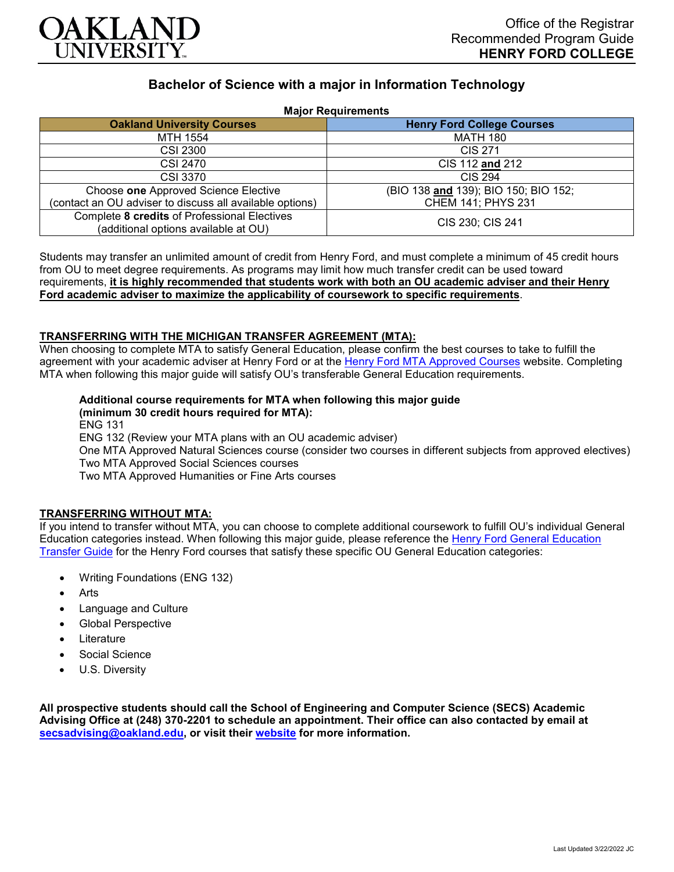

# **Bachelor of Science with a major in Information Technology**

**Major Requirements**

| 1.141                                                    |                                      |
|----------------------------------------------------------|--------------------------------------|
| <b>Oakland University Courses</b>                        | <b>Henry Ford College Courses</b>    |
| MTH 1554                                                 | <b>MATH 180</b>                      |
| <b>CSI 2300</b>                                          | CIS 271                              |
| CSI 2470                                                 | CIS 112 and 212                      |
| <b>CSI 3370</b>                                          | <b>CIS 294</b>                       |
| Choose one Approved Science Elective                     | (BIO 138 and 139); BIO 150; BIO 152; |
| (contact an OU adviser to discuss all available options) | CHEM 141; PHYS 231                   |
| Complete 8 credits of Professional Electives             | CIS 230; CIS 241                     |
| (additional options available at OU)                     |                                      |

Students may transfer an unlimited amount of credit from Henry Ford, and must complete a minimum of 45 credit hours from OU to meet degree requirements. As programs may limit how much transfer credit can be used toward requirements, **it is highly recommended that students work with both an OU academic adviser and their Henry Ford academic adviser to maximize the applicability of coursework to specific requirements**.

#### **TRANSFERRING WITH THE MICHIGAN TRANSFER AGREEMENT (MTA):**

When choosing to complete MTA to satisfy General Education, please confirm the best courses to take to fulfill the agreement with your academic adviser at Henry Ford or at the [Henry Ford MTA Approved Courses](https://www.hfcc.edu/registration-and-records/mta/hfc-agreement) website. Completing MTA when following this major guide will satisfy OU's transferable General Education requirements.

## **Additional course requirements for MTA when following this major guide**

**(minimum 30 credit hours required for MTA):**

ENG 131 ENG 132 (Review your MTA plans with an OU academic adviser) One MTA Approved Natural Sciences course (consider two courses in different subjects from approved electives) Two MTA Approved Social Sciences courses Two MTA Approved Humanities or Fine Arts courses

#### **TRANSFERRING WITHOUT MTA:**

If you intend to transfer without MTA, you can choose to complete additional coursework to fulfill OU's individual General Education categories instead. When following this major guide, please reference the [Henry Ford General Education](https://www.oakland.edu/Assets/Oakland/program-guides/henry-ford-college/university-general-education-requirements/Henry%20Ford%20Gen%20Ed.pdf)  [Transfer Guide](https://www.oakland.edu/Assets/Oakland/program-guides/henry-ford-college/university-general-education-requirements/Henry%20Ford%20Gen%20Ed.pdf) for the Henry Ford courses that satisfy these specific OU General Education categories:

- Writing Foundations (ENG 132)
- **Arts**
- Language and Culture
- Global Perspective
- **Literature**
- Social Science
- U.S. Diversity

**All prospective students should call the School of Engineering and Computer Science (SECS) Academic Advising Office at (248) 370-2201 to schedule an appointment. Their office can also contacted by email at [secsadvising@oakland.edu,](mailto:secsadvising@oakland.edu) or visit their [website](https://wwwp.oakland.edu/secs/advising/) for more information.**